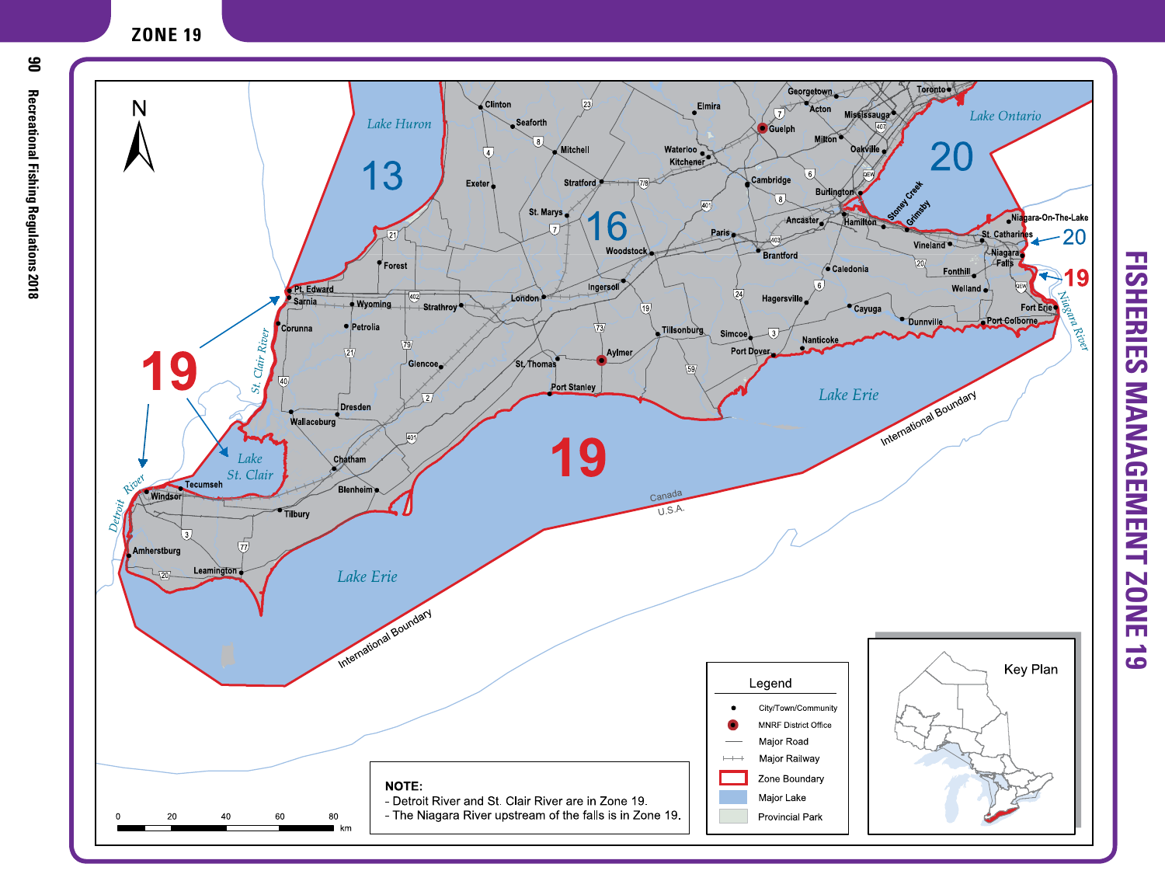## **ZONE 19**